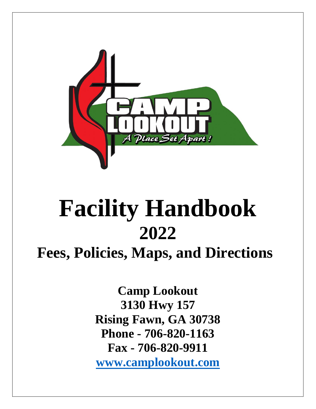

# **Facility Handbook 2022**

# **Fees, Policies, Maps, and Directions**

**Camp Lookout 3130 Hwy 157 Rising Fawn, GA 30738 Phone - 706-820-1163 Fax - 706-820-9911 [www.camplookout.com](http://www.camplookout.com/)**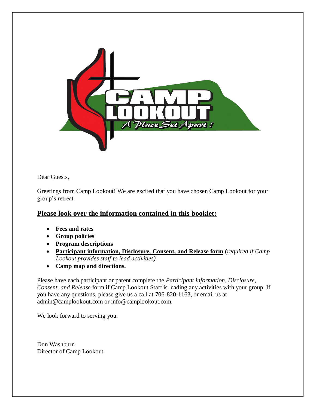

Dear Guests,

Greetings from Camp Lookout! We are excited that you have chosen Camp Lookout for your group's retreat.

# **Please look over the information contained in this booklet:**

- **Fees and rates**
- **Group policies**
- **Program descriptions**
- **Participant information, Disclosure, Consent, and Release form (***required if Camp Lookout provides staff to lead activities)*
- **Camp map and directions.**

Please have each participant or parent complete the *Participant information, Disclosure, Consent, and Release* form if Camp Lookout Staff is leading any activities with your group. If you have any questions, please give us a call at 706-820-1163, or email us at admin@camplookout.com or info@camplookout.com.

We look forward to serving you.

Don Washburn Director of Camp Lookout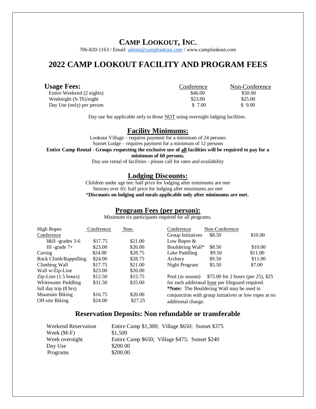# **CAMP LOOKOUT, INC.**

706-820-1163 / Email: [admin@camplookout.com](mailto:admin@camplookout.com) / www.camplookout.com

# **2022 CAMP LOOKOUT FACILITY AND PROGRAM FEES**

| <b>Usage Fees:</b>        | Conference | Non-Conference |
|---------------------------|------------|----------------|
| Entire Weekend (2 nights) | \$46.00    | \$50.00        |
| Weeknight $(S-Th)/night$  | \$23.00    | \$25.00        |
| Day Use (only) per person | \$ 7.00    | \$9.00         |

Day use fee applicable only to those **NOT** using overnight lodging facilities.

#### **Facility Minimums:**

Lookout Village – requires payment for a minimum of 24 persons Sunset Lodge – requires payment for a minimum of 12 persons

**Entire Camp Rental - Groups requesting the exclusive use of all facilities will be required to pay for a** 

**minimum of 60 persons.**

Day use rental of facilities - please call for rates and availability

#### **Lodging Discounts:**

Children under age ten: half price for lodging after minimums are met Seniors over 65: half price for lodging after minimums are met \***Discounts on lodging and meals applicable only after minimums are met.**

# **Program Fees (per person):**

Minimum six participants required for all programs.

| High Ropes                        | Conference | Non-    | Conference                                            | Non-Conference                     |         |
|-----------------------------------|------------|---------|-------------------------------------------------------|------------------------------------|---------|
| Conference                        |            |         | Group Initiatives                                     | \$8.50                             | \$10.00 |
| $I&II$ -grades 3-6                | \$17.75    | \$21.00 | Low Ropes $&$                                         |                                    |         |
| III -grade $7+$                   | \$23.00    | \$26.00 | Bouldering Wall*                                      | \$8.50                             | \$10.00 |
| Caving                            | \$24.00    | \$28.75 | Lake Paddling                                         | \$9.50                             | \$11.00 |
| Rock Climb/Rappelling             | \$24.00    | \$28.75 | Archery                                               | \$9.50                             | \$11.00 |
| Climbing Wall                     | \$17.75    | \$21.00 | Night Program                                         | \$5.50                             | \$7.00  |
| Wall w/Zip-Line                   | \$23.00    | \$26.00 |                                                       |                                    |         |
| $Zip$ -Line $(1.5 \text{ hours})$ | \$12.50    | \$15.75 | Pool (in season)                                      | \$75.00 for 2 hours (per 25), \$25 |         |
| <b>Whitewater Paddling</b>        | \$31.50    | \$35.00 | for each additional hour per lifeguard required.      |                                    |         |
| full day trip (8 hrs)             |            |         | *Note: The Bouldering Wall may be used in             |                                    |         |
| Mountain Biking                   | \$16.75    | \$20.00 | conjunction with group initiatives or low ropes at no |                                    |         |
| Off-site Biking                   | \$24.00    | \$27.25 | additional charge.                                    |                                    |         |

# **Reservation Deposits: Non refundable or transferable**

| Entire Camp \$1,300; Village \$650; Sunset \$375 |
|--------------------------------------------------|
| \$1,500                                          |
| Entire Camp \$650; Village \$475; Sunset \$240   |
| \$200.00                                         |
| \$200.00                                         |
|                                                  |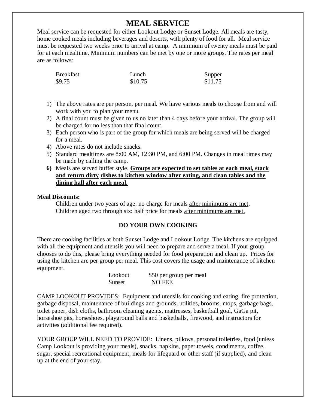# **MEAL SERVICE**

Meal service can be requested for either Lookout Lodge or Sunset Lodge. All meals are tasty, home cooked meals including beverages and deserts, with plenty of food for all. Meal service must be requested two weeks prior to arrival at camp. A minimum of twenty meals must be paid for at each mealtime. Minimum numbers can be met by one or more groups. The rates per meal are as follows:

| <b>Breakfast</b> | Lunch   | Supper  |
|------------------|---------|---------|
| \$9.75           | \$10.75 | \$11.75 |

- 1) The above rates are per person, per meal. We have various meals to choose from and will work with you to plan your menu.
- 2) A final count must be given to us no later than 4 days before your arrival. The group will be charged for no less than that final count.
- 3) Each person who is part of the group for which meals are being served will be charged for a meal.
- 4) Above rates do not include snacks.
- 5) Standard mealtimes are 8:00 AM, 12:30 PM, and 6:00 PM. Changes in meal times may be made by calling the camp.
- **6)** Meals are served buffet style. **Groups are expected to set tables at each meal, stack and return dirty dishes to kitchen window after eating, and clean tables and the dining hall after each meal.**

#### **Meal Discounts:**

Children under two years of age: no charge for meals after minimums are met. Children aged two through six: half price for meals after minimums are met.

### **DO YOUR OWN COOKING**

There are cooking facilities at both Sunset Lodge and Lookout Lodge. The kitchens are equipped with all the equipment and utensils you will need to prepare and serve a meal. If your group chooses to do this, please bring everything needed for food preparation and clean up. Prices for using the kitchen are per group per meal. This cost covers the usage and maintenance of kitchen equipment.

| Lookout | \$50 per group per meal |
|---------|-------------------------|
| Sunset  | <b>NO FEE</b>           |

CAMP LOOKOUT PROVIDES: Equipment and utensils for cooking and eating, fire protection, garbage disposal, maintenance of buildings and grounds, utilities, brooms, mops, garbage bags, toilet paper, dish cloths, bathroom cleaning agents, mattresses, basketball goal, GaGa pit, horseshoe pits, horseshoes, playground balls and basketballs, firewood, and instructors for activities (additional fee required).

YOUR GROUP WILL NEED TO PROVIDE: Linens, pillows, personal toiletries, food (unless Camp Lookout is providing your meals), snacks, napkins, paper towels, condiments, coffee, sugar, special recreational equipment, meals for lifeguard or other staff (if supplied), and clean up at the end of your stay.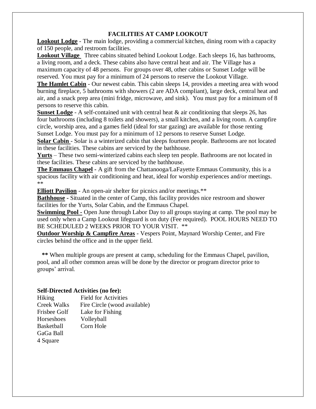## **FACILITIES AT CAMP LOOKOUT**

**Lookout Lodge** - The main lodge, providing a commercial kitchen, dining room with a capacity of 150 people, and restroom facilities.

**Lookout Village** Three cabins situated behind Lookout Lodge. Each sleeps 16, has bathrooms, a living room, and a deck. These cabins also have central heat and air. The Village has a maximum capacity of 48 persons. For groups over 48, other cabins or Sunset Lodge will be reserved. You must pay for a minimum of 24 persons to reserve the Lookout Village.

**The Hamlet Cabin** - Our newest cabin. This cabin sleeps 14, provides a meeting area with wood burning fireplace, 5 bathrooms with showers (2 are ADA compliant), large deck, central heat and air, and a snack prep area (mini fridge, microwave, and sink). You must pay for a minimum of 8 persons to reserve this cabin.

**Sunset Lodge** - A self-contained unit with central heat  $\&$  air conditioning that sleeps 26, has four bathrooms (including 8 toilets and showers), a small kitchen, and a living room. A campfire circle, worship area, and a games field (ideal for star gazing) are available for those renting Sunset Lodge. You must pay for a minimum of 12 persons to reserve Sunset Lodge.

**Solar Cabin** - Solar is a winterized cabin that sleeps fourteen people. Bathrooms are not located in these facilities. These cabins are serviced by the bathhouse.

**Yurts** – These two semi-winterized cabins each sleep ten people. Bathrooms are not located in these facilities. These cabins are serviced by the bathhouse.

**The Emmaus Chapel -** A gift from the Chattanooga/LaFayette Emmaus Community, this is a spacious facility with air conditioning and heat, ideal for worship experiences and/or meetings. \*\*

**Elliott Pavilion** - An open-air shelter for picnics and/or meetings.\*\*

**Bathhouse -** Situated in the center of Camp, this facility provides nice restroom and shower facilities for the Yurts, Solar Cabin, and the Emmaus Chapel.

**Swimming Pool -** Open June through Labor Day to all groups staying at camp. The pool may be used only when a Camp Lookout lifeguard is on duty (Fee required). POOL HOURS NEED TO BE SCHEDULED 2 WEEKS PRIOR TO YOUR VISIT. \*\*

**Outdoor Worship & Campfire Areas** - Vespers Point, Maynard Worship Center, and Fire circles behind the office and in the upper field.

 **\*\*** When multiple groups are present at camp, scheduling for the Emmaus Chapel, pavilion, pool, and all other common areas will be done by the director or program director prior to groups' arrival.

#### **Self-Directed Activities (no fee):**

| Hiking             | <b>Field for Activities</b>  |
|--------------------|------------------------------|
| <b>Creek Walks</b> | Fire Circle (wood available) |
| Frisbee Golf       | Lake for Fishing             |
| Horseshoes         | Volleyball                   |
| <b>Basketball</b>  | Corn Hole                    |
| GaGa Ball          |                              |
| 4 Square           |                              |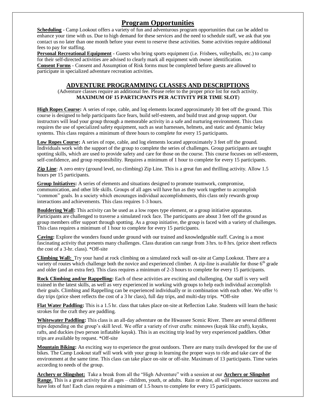# **Program Opportunities**

**Scheduling** - Camp Lookout offers a variety of fun and adventurous program opportunities that can be added to enhance your time with us. Due to high demand for these services and the need to schedule staff, we ask that you contact us no later than one month before your event to reserve these activities. Some activities require additional fees to pay for staffing.

**Personal Recreational Equipment** - Guests who bring sports equipment (i.e. Frisbees, volleyballs, etc.) to camp for their self-directed activities are advised to clearly mark all equipment with owner identification. **Consent Forms** - Consent and Assumption of Risk forms must be completed before guests are allowed to participate in specialized adventure recreation activities.

#### **ADVENTURE PROGRAMMING CLASSES AND DESCRIPTIONS**

#### (Adventure classes require an additional fee. Please refer to the proper price list for each activity. **MAXIMUM OF 15 PARTICPANTS PER ACTIVITY PER TIME SLOT**)

**High Ropes Course:** A series of rope, cable, and log elements located approximately 30 feet off the ground. This course is designed to help participants face fears, build self-esteem, and build trust and group support. Our instructors will lead your group through a memorable activity in a safe and nurturing environment. This class requires the use of specialized safety equipment, such as seat harnesses, helmets, and static and dynamic belay systems. This class requires a minimum of three hours to complete for every 15 participants.

Low Ropes Course: A series of rope, cable, and log elements located approximately 3 feet off the ground. Individuals work with the support of the group to complete the series of challenges. Group participants are taught spotting skills, which are used to provide safety and care for those on the course. This course focuses on self-esteem, self-confidence, and group responsibility. Requires a minimum of 1 hour to complete for every 15 participants.

**Zip Line**: A zero entry (ground level, no climbing) Zip Line. This is a great fun and thrilling activity. Allow 1.5 hours per 15 participants.

**Group Initiatives:** A series of elements and situations designed to promote teamwork, compromise, communication, and other life skills. Groups of all ages will have fun as they work together to accomplish "common" goals. In a society which encourages individual accomplishments, this class only rewards group interactions and achievements. This class requires 1-3 hours.

**Bouldering Wall:** This activity can be used as a low ropes type element, or a group initiative apparatus. Participants are challenged to traverse a simulated rock face. The participants are about 3 feet off the ground as group members offer support through spotting. As a group initiative, the group is faced with a variety of challenges. This class requires a minimum of 1 hour to complete for every 15 participants.

**Caving:** Explore the wonders found under ground with our trained and knowledgeable staff. Caving is a most fascinating activity that presents many challenges. Class duration can range from 3 hrs. to 8 hrs. (price sheet reflects the cost of a 3-hr. class). \*Off-site

**Climbing Wall:** Try your hand at rock climbing on a simulated rock wall on-site at Camp Lookout. There are a variety of routes which challenge both the novice and experienced climber. A zip-line is available for those  $6<sup>th</sup>$  grade and older (and an extra fee). This class requires a minimum of 2-3 hours to complete for every 15 participants.

**Rock Climbing and/or Rappelling:** Each of these activities are exciting and challenging. Our staff is very well trained in the latest skills, as well as very experienced in working with groups to help each individual accomplish their goals. Climbing and Rappelling can be experienced individually or in combination with each other. We offer ½ day trips (price sheet reflects the cost of a 3 hr class), full day trips, and multi-day trips. \*Off-site

**Flat Water Paddling:** This is a 1.5 hr. class that takes place on-site at Reflection Lake. Students will learn the basic strokes for the craft they are paddling.

**Whitewater Paddling:** This class is an all-day adventure on the Hiwassee Scenic River. There are several different trips depending on the group's skill level. We offer a variety of river crafts: minnows (kayak like craft), kayaks, rafts, and duckies (two person inflatable kayak). This is an exciting trip lead by very experienced paddlers. Other trips are available by request. \*Off-site

**Mountain Biking:** An exciting way to experience the great outdoors. There are many trails developed for the use of bikes. The Camp Lookout staff will work with your group in learning the proper ways to ride and take care of the environment at the same time. This class can take place on-site or off-site. Maximum of 13 participants. Time varies according to needs of the group.

**Archery or Slingshot:** Take a break from all the "High Adventure" with a session at our **Archery or Slingshot**  Range. This is a great activity for all ages – children, youth, or adults. Rain or shine, all will experience success and have lots of fun! Each class requires a minimum of 1.5 hours to complete for every 15 participants.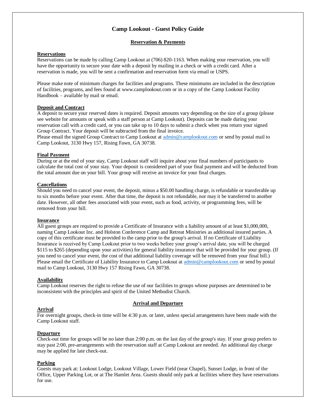#### **Camp Lookout - Guest Policy Guide**

#### **Reservation & Payments**

#### **Reservations**

Reservations can be made by calling Camp Lookout at (706) 820-1163. When making your reservation, you will have the opportunity to secure your date with a deposit by mailing in a check or with a credit card. After a reservation is made, you will be sent a confirmation and reservation form via email or USPS.

Please make note of minimum charges for facilities and programs. These minimums are included in the description of facilities, programs, and fees found at www.camplookout.com or in a copy of the Camp Lookout Facility Handbook – available by mail or email.

#### **Deposit and Contract**

A deposit to secure your reserved dates is required. Deposit amounts vary depending on the size of a group (please see website for amounts or speak with a staff person at Camp Lookout). Deposits can be made during your reservation call with a credit card, or you can take up to 10 days to submit a check when you return your signed Group Contract. Your deposit will be subtracted from the final invoice.

Please email the signed Group Contract to Camp Lookout at [admin@camplookout.com](mailto:admin@camplookout.com) or send by postal mail to Camp Lookout, 3130 Hwy 157, Rising Fawn, GA 30738.

#### **Final Payment**

During or at the end of your stay, Camp Lookout staff will inquire about your final numbers of participants to calculate the total cost of your stay. Your deposit is considered part of your final payment and will be deducted from the total amount due on your bill. Your group will receive an invoice for your final charges.

#### **Cancellations**

Should you need to cancel your event, the deposit, minus a \$50.00 handling charge, is refundable or transferable up to six months before your event. After that time, the deposit is not refundable, nor may it be transferred to another date. However, all other fees associated with your event, such as food, activity, or programming fees, will be removed from your bill.

#### **Insurance**

All guest groups are required to provide a Certificate of Insurance with a liability amount of at least \$1,000,000, naming Camp Lookout Inc. and Holston Conference Camp and Retreat Ministries as additional insured parties. A copy of this certificate must be provided to the camp prior to the group's arrival. If no Certificate of Liability Insurance is received by Camp Lookout prior to two weeks before your group's arrival date, you will be charged \$115 to \$265 (depending upon your activities) for general liability insurance that will be provided for your group. (If you need to cancel your event, the cost of that additional liability coverage will be removed from your final bill.) Please email the Certificate of Liability Insurance to Camp Lookout at [admin@camplookout.com](mailto:admin@camplookout.com) or send by postal mail to Camp Lookout, 3130 Hwy 157 Rising Fawn, GA 30738.

#### **Availability**

Camp Lookout reserves the right to refuse the use of our facilities to groups whose purposes are determined to be inconsistent with the principles and spirit of the United Methodist Church.

#### **Arrival and Departure**

#### **Arrival**

#### For overnight groups, check-in time will be 4:30 p.m. or later, unless special arrangements have been made with the Camp Lookout staff.

#### **Departure**

Check-out time for groups will be no later than 2:00 p.m. on the last day of the group's stay. If your group prefers to stay past 2:00, pre-arrangements with the reservation staff at Camp Lookout are needed. An additional day charge may be applied for late check-out.

#### **Parking**

Guests may park at: Lookout Lodge, Lookout Village, Lower Field (near Chapel), Sunset Lodge, in front of the Office, Upper Parking Lot, or at The Hamlet Area. Guests should only park at facilities where they have reservations for use.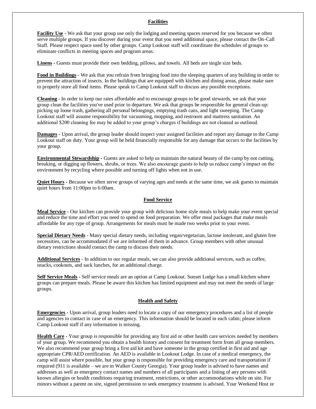#### **Facilities**

**Facility Use -** We ask that your group use only the lodging and meeting spaces reserved for you because we often serve multiple groups. If you discover during your event that you need additional space, please contact the On-Call Staff. Please respect space used by other groups. Camp Lookout staff will coordinate the schedules of groups to eliminate conflicts in meeting spaces and program areas.

**Linens -** Guests must provide their own bedding, pillows, and towels. All beds are single size beds.

**Food in Buildings -** We ask that you refrain from bringing food into the sleeping quarters of any building in order to prevent the attraction of insects. In the buildings that are equipped with kitchen and dining areas, please make sure to properly store all food items. Please speak to Camp Lookout staff to discuss any possible exceptions.

**Cleaning -** In order to keep our rates affordable and to encourage groups to be good stewards, we ask that your group clean the facilities you've used prior to departure. We ask that groups be responsible for general clean-up: picking up loose trash, gathering all personal belongings, emptying trash cans, and light sweeping. The Camp Lookout staff will assume responsibility for vacuuming, mopping, and restroom and mattress sanitation. An additional \$200 cleaning fee may be added to your group's charges if buildings are not cleaned as outlined.

**Damages -** Upon arrival, the group leader should inspect your assigned facilities and report any damage to the Camp Lookout staff on duty. Your group will be held financially responsible for any damage that occurs to the facilities by your group.

**Environmental Stewardship -** Guests are asked to help us maintain the natural beauty of the camp by not cutting, breaking, or digging up flowers, shrubs, or trees. We also encourage guests to help us reduce camp's impact on the environment by recycling where possible and turning off lights when not in use.

**Quiet Hours -** Because we often serve groups of varying ages and needs at the same time, we ask guests to maintain quiet hours from 11:00pm to 6:00am.

#### **Food Service**

**Meal Service -** Our kitchen can provide your group with delicious home style meals to help make your event special and reduce the time and effort you need to spend on food preparation. We offer meal packages that make meals affordable for any type of group. Arrangements for meals must be made two weeks prior to your event.

**Special Dietary Needs** - Many special dietary needs, including vegan/vegetarian, lactose intolerant, and gluten free necessities, can be accommodated if we are informed of them in advance. Group members with other unusual dietary restrictions should contact the camp to discuss their needs.

**Additional Services -** In addition to our regular meals, we can also provide additional services, such as coffee, snacks, cookouts, and sack lunches, for an additional charge.

**Self Service Meals -** Self service meals are an option at Camp Lookout. Sunset Lodge has a small kitchen where groups can prepare meals. Please be aware this kitchen has limited equipment and may not meet the needs of large groups.

#### **Health and Safety**

**Emergencies -** Upon arrival, group leaders need to locate a copy of our emergency procedures and a list of people and agencies to contact in case of an emergency. This information should be located in each cabin; please inform Camp Lookout staff if any information is missing.

**Health Care -** Your group is responsible for providing any first aid or other health care services needed by members of your group. We recommend you obtain a health history and consent for treatment form from all group members. We also recommend your group bring a first aid kit and have someone in the group certified in first aid and age appropriate CPR/AED certification. An AED is available in Lookout Lodge. In case of a medical emergency, the camp will assist where possible, but your group is responsible for providing emergency care and transportation if required (911 is available – we are in Walker County Georgia). Your group leader is advised to have names and addresses as well as emergency contact names and numbers of all participants and a listing of any persons with known allergies or health conditions requiring treatment, restrictions, or other accommodations while on site. For minors without a parent on site, signed permission to seek emergency treatment is advised. Your Weekend Host or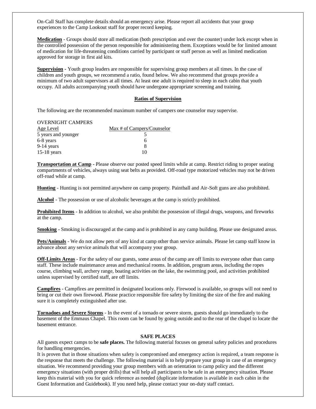On-Call Staff has complete details should an emergency arise. Please report all accidents that your group experiences to the Camp Lookout staff for proper record keeping.

**Medication** - Groups should store all medication (both prescription and over the counter) under lock except when in the controlled possession of the person responsible for administering them. Exceptions would be for limited amount of medication for life-threatening conditions carried by participant or staff person as well as limited medication approved for storage in first aid kits.

**Supervision -** Youth group leaders are responsible for supervising group members at all times. In the case of children and youth groups, we recommend a ratio, found below. We also recommend that groups provide a minimum of two adult supervisors at all times. At least one adult is required to sleep in each cabin that youth occupy. All adults accompanying youth should have undergone appropriate screening and training.

#### **Ratios of Supervision**

The following are the recommended maximum number of campers one counselor may supervise.

| <b>OVERNIGHT CAMPERS</b> |                            |
|--------------------------|----------------------------|
| Age Level                | Max # of Campers/Counselor |
| 5 years and younger      |                            |
| 6-8 years                | h                          |
| $9-14$ years             | х                          |
| $15-18$ years            | 10                         |

**Transportation at Camp -** Please observe our posted speed limits while at camp. Restrict riding to proper seating compartments of vehicles, always using seat belts as provided. Off-road type motorized vehicles may not be driven off-road while at camp.

**Hunting** - Hunting is not permitted anywhere on camp property. Paintball and Air-Soft guns are also prohibited.

**Alcohol** - The possession or use of alcoholic beverages at the camp is strictly prohibited.

**Prohibited Items** - In addition to alcohol, we also prohibit the possession of illegal drugs, weapons, and fireworks at the camp.

**Smoking** - Smoking is discouraged at the camp and is prohibited in any camp building. Please use designated areas.

**Pets/Animals** - We do not allow pets of any kind at camp other than service animals. Please let camp staff know in advance about any service animals that will accompany your group.

**Off-Limits Areas** - For the safety of our guests, some areas of the camp are off limits to everyone other than camp staff. These include maintenance areas and mechanical rooms. In addition, program areas, including the ropes course, climbing wall, archery range, boating activities on the lake, the swimming pool, and activities prohibited unless supervised by certified staff, are off limits.

**Campfires** - Campfires are permitted in designated locations only. Firewood is available, so groups will not need to bring or cut their own firewood. Please practice responsible fire safety by limiting the size of the fire and making sure it is completely extinguished after use.

**Tornadoes and Severe Storms** - In the event of a tornado or severe storm, guests should go immediately to the basement of the Emmaus Chapel. This room can be found by going outside and to the rear of the chapel to locate the basement entrance.

#### **SAFE PLACES**

All guests expect camps to be **safe places.** The following material focuses on general safety policies and procedures for handling emergencies.

It is proven that in those situations when safety is compromised and emergency action is required, a team response is the response that meets the challenge. The following material is to help prepare your group in case of an emergency situation. We recommend providing your group members with an orientation to camp policy and the different emergency situations (with proper drills) that will help all participants to be safe in an emergency situation. Please keep this material with you for quick reference as needed (duplicate information is available in each cabin in the Guest Information and Guidebook). If you need help, please contact your on-duty staff contact.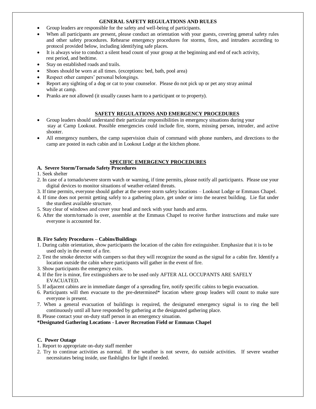#### **GENERAL SAFETY REGULATIONS AND RULES**

- Group leaders are responsible for the safety and well-being of participants.
- When all participants are present, please conduct an orientation with your guests, covering general safety rules and other safety procedures. Rehearse emergency procedures for storms, fires, and intruders according to protocol provided below, including identifying safe places.
- It is always wise to conduct a silent head count of your group at the beginning and end of each activity, rest period, and bedtime.
- Stay on established roads and trails.
- Shoes should be worn at all times. (exceptions: bed, bath, pool area)
- Respect other campers' personal belongings.
- Report any sighting of a dog or cat to your counselor. Please do not pick up or pet any stray animal while at camp.
- Pranks are not allowed (it usually causes harm to a participant or to property).

#### **SAFETY REGULATIONS AND EMERGENCY PROCEDURES**

- Group leaders should understand their particular responsibilities in emergency situations during your stay at Camp Lookout. Possible emergencies could include fire, storm, missing person, intruder, and active shooter.
- All emergency numbers, the camp supervision chain of command with phone numbers, and directions to the camp are posted in each cabin and in Lookout Lodge at the kitchen phone.

#### **SPECIFIC EMERGENCY PROCEDURES**

#### **A. Severe Storm/Tornado Safety Procedures**

- 1. Seek shelter
- 2. In case of a tornado/severe storm watch or warning, if time permits, please notify all participants. Please use your digital devices to monitor situations of weather-related threats.
- 3. If time permits, everyone should gather at the severe storm safety locations Lookout Lodge or Emmaus Chapel.
- 4. If time does not permit getting safely to a gathering place, get under or into the nearest building. Lie flat under the sturdiest available structure.
- 5. Stay clear of windows and cover your head and neck with your hands and arms.
- 6. After the storm/tornado is over, assemble at the Emmaus Chapel to receive further instructions and make sure everyone is accounted for.

#### **B. Fire Safety Procedures – Cabins/Buildings**

- 1. During cabin orientation, show participants the location of the cabin fire extinguisher. Emphasize that it is to be used only in the event of a fire.
- 2. Test the smoke detector with campers so that they will recognize the sound as the signal for a cabin fire. Identify a location outside the cabin where participants will gather in the event of fire.
- 3. Show participants the emergency exits.
- 4. If the fire is minor, fire extinguishers are to be used only AFTER ALL OCCUPANTS ARE SAFELY EVACUATED.
- 5. If adjacent cabins are in immediate danger of a spreading fire, notify specific cabins to begin evacuation.
- 6. Participants will then evacuate to the pre-determined\* location where group leaders will count to make sure everyone is present.
- 7. When a general evacuation of buildings is required, the designated emergency signal is to ring the bell continuously until all have responded by gathering at the designated gathering place.
- 8. Please contact your on-duty staff person in an emergency situation.

**\*Designated Gathering Locations - Lower Recreation Field or Emmaus Chapel** 

#### **C. Power Outage**

- 1. Report to appropriate on-duty staff member
- 2. Try to continue activities as normal. If the weather is not severe, do outside activities. If severe weather necessitates being inside, use flashlights for light if needed.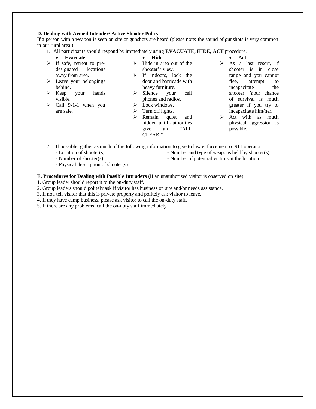#### **D. Dealing with Armed Intruder/ Active Shooter Policy**

If a person with a weapon is seen on site or gunshots are heard (please note: the sound of gunshots is very common in our rural area.)

- 1. All participants should respond by immediately using **EVACUATE, HIDE, ACT** procedure.
- **Evacuate**   $\triangleright$  If safe, retreat to predesignated locations away from area.
- $\triangleright$  Leave your belongings behind.
- $\triangleright$  Keep your hands visible.
- $\triangleright$  Call 9-1-1 when you are safe.
- **Hide**   $\triangleright$  Hide in area out of the shooter's view.
- $\triangleright$  If indoors, lock the door and barricade with heavy furniture.
- > Silence your cell phones and radios.
- $\triangleright$  Lock windows.
- $\triangleright$  Turn off lights.
- > Remain quiet and hidden until authorities give an "ALL CLEAR."
- $\bullet$  **Act**  $\triangleright$  As  $\overline{a}$  last resort, if shooter is in close range and you cannot flee, attempt to incapacitate the shooter. Your chance of survival is much greater if you try to incapacitate him/her.
- $\triangleright$  Act with as much physical aggression as possible.
- 2. If possible, gather as much of the following information to give to law enforcement or 911 operator: - Location of shooter(s).
	- Number and type of weapons held by shooter(s).

- Number of shooter(s).

- Number of potential victims at the location.
- Physical description of shooter(s).

#### **E. Procedures for Dealing with Possible Intruders (**If an unauthorized visitor is observed on site)

- 1. Group leader should report it to the on-duty staff.
- 2. Group leaders should politely ask if visitor has business on site and/or needs assistance.
- 3. If not, tell visitor that this is private property and politely ask visitor to leave.
- 4. If they have camp business, please ask visitor to call the on-duty staff.
- 5. If there are any problems, call the on-duty staff immediately.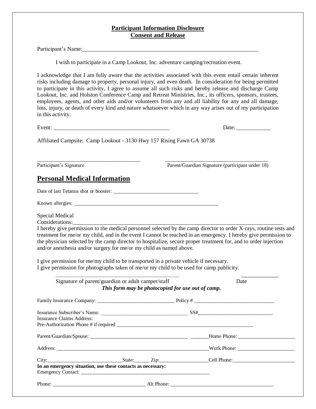#### **Participant Information Disclosure Consent and Release**

Participant's Name:

I wish to participate in a Camp Lookout, Inc. adventure camping/recreation event.

I acknowledge that I am fully aware that the activities associated with this event entail certain inherent risks including damage to property, personal injury, and even death. In consideration for being permitted to participate in this activity, I agree to assume all such risks and hereby release and discharge Camp Lookout, Inc. and Holston Conference Camp and Retreat Ministries, Inc., its officers, sponsors, trustees, employees, agents, and other aids and/or volunteers from any and all liability for any and all damage, loss, injury, or death of every kind and nature whatsoever which in any way arises out of my participation in this activity.

Event:  $\Box$ 

Affiliated Campsite: Camp Lookout - 3130 Hwy 157 Rising Fawn GA 30738

\_\_\_\_\_\_\_\_\_\_\_\_\_\_\_\_\_\_\_\_\_\_\_\_\_\_\_\_\_\_\_\_\_\_\_\_\_\_\_\_ \_\_\_\_\_\_\_\_\_\_\_\_\_\_\_\_\_\_\_\_\_\_\_\_\_\_\_\_\_\_\_\_\_\_\_\_\_\_\_\_ Participant's Signature Parent/Guardian Signature (participant under 18)

# **Personal Medical Information**

Date of last Tetanus shot or booster: \_\_\_\_\_\_\_\_\_\_\_\_\_\_\_\_\_\_\_\_\_\_\_\_\_\_\_\_\_\_\_\_\_

Known allergies: \_\_\_\_\_\_\_\_\_\_\_\_\_\_\_\_\_\_\_\_\_\_\_\_\_\_\_\_\_\_\_\_\_\_\_\_\_\_\_\_\_\_\_\_\_\_\_\_\_\_\_\_\_\_\_\_

Special Medical

Considerations:

I hereby give permission to the medical personnel selected by the camp director to order X-rays, routine tests and treatment for me/or my child, and in the event I cannot be reached in an emergency. I hereby give permission to the physician selected by the camp director to hospitalize, secure proper treatment for, and to order injection and/or anesthesia and/or surgery for me/or my child as named above.

I give permission for me/my child to be transported in a private vehicle if necessary. I give permission for photographs taken of me/or my child to be used for camp publicity.

| Signature of parent/guardian or adult camper/staff                               |  | This form may be photocopied for use out of camp. | Date                                          |
|----------------------------------------------------------------------------------|--|---------------------------------------------------|-----------------------------------------------|
|                                                                                  |  |                                                   |                                               |
| Insurance Subscriber's Name: Subscriber's Name: SS#<br>Insurance Claims Address: |  |                                                   |                                               |
|                                                                                  |  |                                                   |                                               |
|                                                                                  |  |                                                   | Address: Work Phone: Work Phone: 2008. [2013] |
| In an emergency situation, use these contacts as necessary:                      |  |                                                   | City: City: City: City: Cell Phone:           |
| Phone: Alt Phone: Alt Phone:                                                     |  |                                                   |                                               |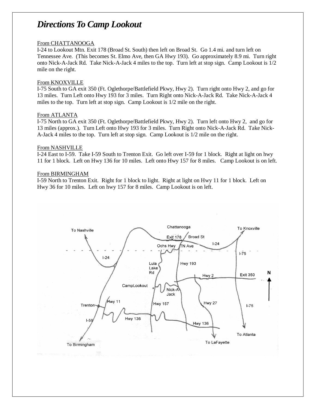# *Directions To Camp Lookout*

#### From CHATTANOOGA

I-24 to Lookout Mtn. Exit 178 (Broad St. South) then left on Broad St. Go 1.4 mi. and turn left on Tennessee Ave. (This becomes St. Elmo Ave, then GA Hwy 193). Go approximately 8.9 mi. Turn right onto Nick-A-Jack Rd. Take Nick-A-Jack 4 miles to the top. Turn left at stop sign. Camp Lookout is 1/2 mile on the right.

#### From KNOXVILLE

I-75 South to GA exit 350 (Ft. Oglethorpe/Battlefield Pkwy, Hwy 2). Turn right onto Hwy 2, and go for 13 miles. Turn Left onto Hwy 193 for 3 miles. Turn Right onto Nick-A-Jack Rd. Take Nick-A-Jack 4 miles to the top. Turn left at stop sign. Camp Lookout is 1/2 mile on the right.

#### From ATLANTA

I-75 North to GA exit 350 (Ft. Oglethorpe/Battlefield Pkwy, Hwy 2). Turn left onto Hwy 2, and go for 13 miles (approx.). Turn Left onto Hwy 193 for 3 miles. Turn Right onto Nick-A-Jack Rd. Take Nick-A-Jack 4 miles to the top. Turn left at stop sign. Camp Lookout is 1/2 mile on the right.

#### From NASHVILLE

I-24 East to I-59. Take I-59 South to Trenton Exit. Go left over I-59 for 1 block. Right at light on hwy 11 for 1 block. Left on Hwy 136 for 10 miles. Left onto Hwy 157 for 8 miles. Camp Lookout is on left.

#### From BIRMINGHAM

I-59 North to Trenton Exit. Right for 1 block to light. Right at light on Hwy 11 for 1 block. Left on Hwy 36 for 10 miles. Left on hwy 157 for 8 miles. Camp Lookout is on left.